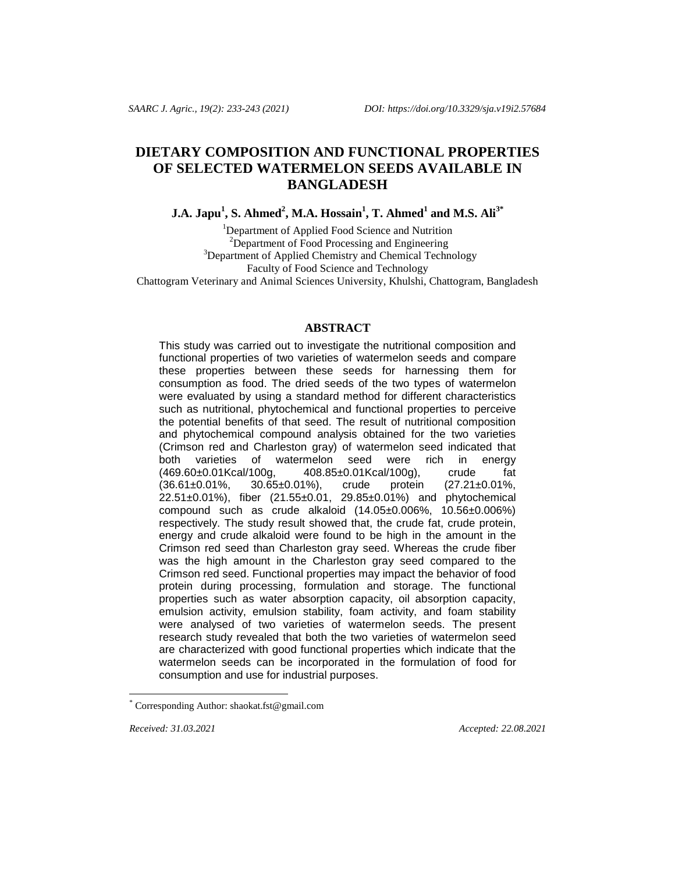# **DIETARY COMPOSITION AND FUNCTIONAL PROPERTIES OF SELECTED WATERMELON SEEDS AVAILABLE IN BANGLADESH**

**J.A. Japu<sup>1</sup> , S. Ahmed<sup>2</sup> , M.A. Hossain<sup>1</sup> , T. Ahmed<sup>1</sup> and M.S. Ali3\***

<sup>1</sup>Department of Applied Food Science and Nutrition <sup>2</sup>Department of Food Processing and Engineering <sup>3</sup>Department of Applied Chemistry and Chemical Technology Faculty of Food Science and Technology Chattogram Veterinary and Animal Sciences University, Khulshi, Chattogram, Bangladesh

# **ABSTRACT**

This study was carried out to investigate the nutritional composition and functional properties of two varieties of watermelon seeds and compare these properties between these seeds for harnessing them for consumption as food. The dried seeds of the two types of watermelon were evaluated by using a standard method for different characteristics such as nutritional, phytochemical and functional properties to perceive the potential benefits of that seed. The result of nutritional composition and phytochemical compound analysis obtained for the two varieties (Crimson red and Charleston gray) of watermelon seed indicated that both varieties of watermelon seed were rich in energy (469.60±0.01Kcal/100g, 408.85±0.01Kcal/100g), crude fat (36.61±0.01%, 30.65±0.01%), crude protein (27.21±0.01%, 22.51±0.01%), fiber (21.55±0.01, 29.85±0.01%) and phytochemical compound such as crude alkaloid (14.05±0.006%, 10.56±0.006%) respectively. The study result showed that, the crude fat, crude protein, energy and crude alkaloid were found to be high in the amount in the Crimson red seed than Charleston gray seed. Whereas the crude fiber was the high amount in the Charleston gray seed compared to the Crimson red seed. Functional properties may impact the behavior of food protein during processing, formulation and storage. The functional properties such as water absorption capacity, oil absorption capacity, emulsion activity, emulsion stability, foam activity, and foam stability were analysed of two varieties of watermelon seeds. The present research study revealed that both the two varieties of watermelon seed are characterized with good functional properties which indicate that the watermelon seeds can be incorporated in the formulation of food for consumption and use for industrial purposes.

l

*Received: 31.03.2021 Accepted: 22.08.2021*

Corresponding Author[: shaokat.fst@gmail.com](mailto:shaokat.fst@gmail.com)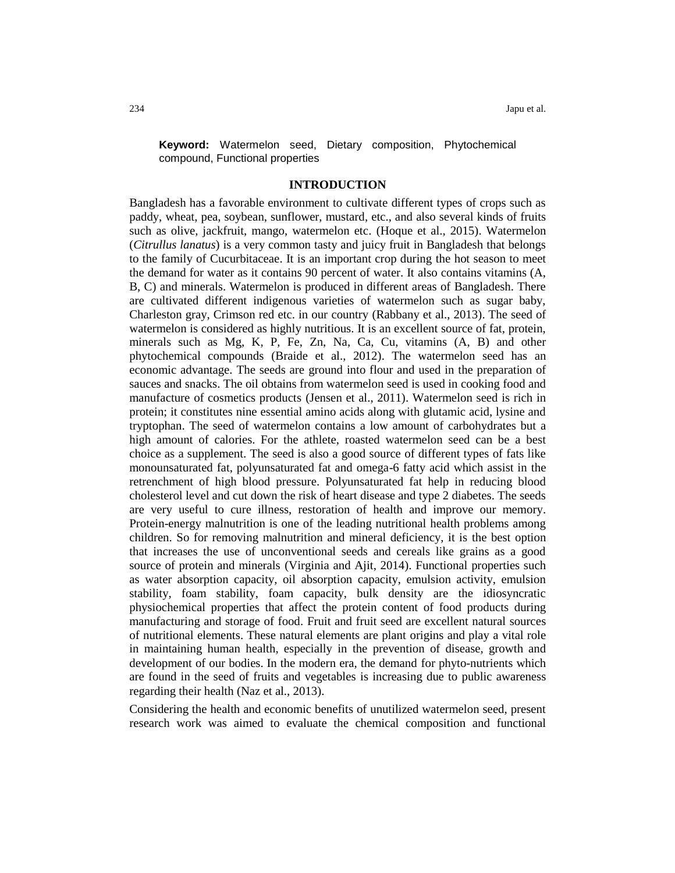**Keyword:** Watermelon seed, Dietary composition, Phytochemical compound, Functional properties

#### **INTRODUCTION**

Bangladesh has a favorable environment to cultivate different types of crops such as paddy, wheat, pea, soybean, sunflower, mustard, etc., and also several kinds of fruits such as olive, jackfruit, mango, watermelon etc. (Hoque et al., 2015). Watermelon (*Citrullus lanatus*) is a very common tasty and juicy fruit in Bangladesh that belongs to the family of Cucurbitaceae. It is an important crop during the hot season to meet the demand for water as it contains 90 percent of water. It also contains vitamins (A, B, C) and minerals. Watermelon is produced in different areas of Bangladesh. There are cultivated different indigenous varieties of watermelon such as sugar baby, Charleston gray, Crimson red etc. in our country (Rabbany et al., 2013). The seed of watermelon is considered as highly nutritious. It is an excellent source of fat, protein, minerals such as Mg, K, P, Fe, Zn, Na, Ca, Cu, vitamins (A, B) and other phytochemical compounds (Braide et al., 2012). The watermelon seed has an economic advantage. The seeds are ground into flour and used in the preparation of sauces and snacks. The oil obtains from watermelon seed is used in cooking food and manufacture of cosmetics products (Jensen et al., 2011). Watermelon seed is rich in protein; it constitutes nine essential amino acids along with glutamic acid, lysine and tryptophan. The seed of watermelon contains a low amount of carbohydrates but a high amount of calories. For the athlete, roasted watermelon seed can be a best choice as a supplement. The seed is also a good source of different types of fats like monounsaturated fat, polyunsaturated fat and omega-6 fatty acid which assist in the retrenchment of high blood pressure. Polyunsaturated fat help in reducing blood cholesterol level and cut down the risk of heart disease and type 2 diabetes. The seeds are very useful to cure illness, restoration of health and improve our memory. Protein-energy malnutrition is one of the leading nutritional health problems among children. So for removing malnutrition and mineral deficiency, it is the best option that increases the use of unconventional seeds and cereals like grains as a good source of protein and minerals (Virginia and Ajit, 2014). Functional properties such as water absorption capacity, oil absorption capacity, emulsion activity, emulsion stability, foam stability, foam capacity, bulk density are the idiosyncratic physiochemical properties that affect the protein content of food products during manufacturing and storage of food. Fruit and fruit seed are excellent natural sources of nutritional elements. These natural elements are plant origins and play a vital role in maintaining human health, especially in the prevention of disease, growth and development of our bodies. In the modern era, the demand for phyto-nutrients which are found in the seed of fruits and vegetables is increasing due to public awareness regarding their health (Naz et al., 2013).

Considering the health and economic benefits of unutilized watermelon seed, present research work was aimed to evaluate the chemical composition and functional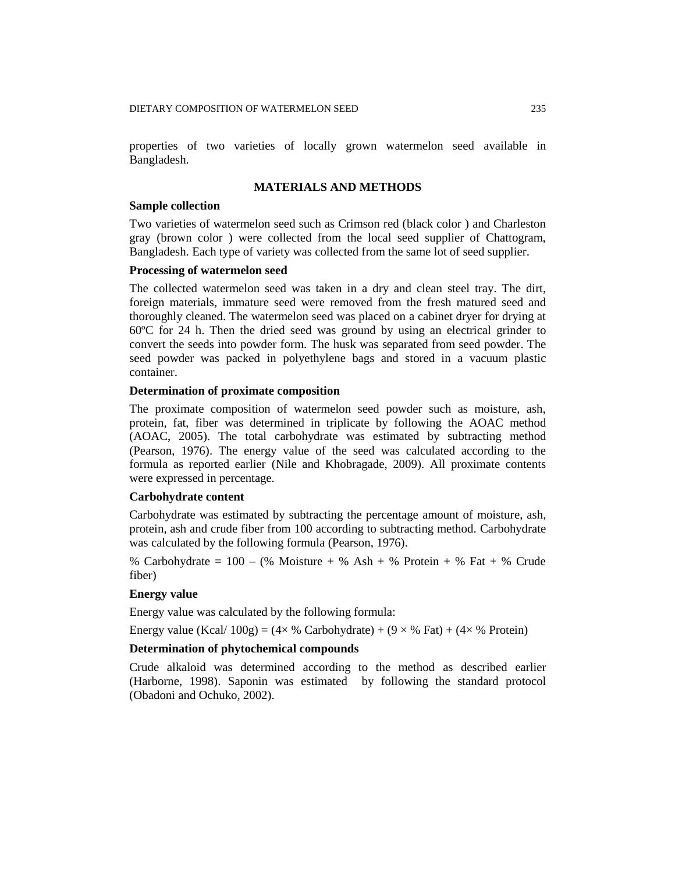properties of two varieties of locally grown watermelon seed available in Bangladesh.

# **MATERIALS AND METHODS**

## **Sample collection**

Two varieties of watermelon seed such as Crimson red (black color ) and Charleston gray (brown color ) were collected from the local seed supplier of Chattogram, Bangladesh. Each type of variety was collected from the same lot of seed supplier.

## **Processing of watermelon seed**

The collected watermelon seed was taken in a dry and clean steel tray. The dirt, foreign materials, immature seed were removed from the fresh matured seed and thoroughly cleaned. The watermelon seed was placed on a cabinet dryer for drying at 60ºC for 24 h. Then the dried seed was ground by using an electrical grinder to convert the seeds into powder form. The husk was separated from seed powder. The seed powder was packed in polyethylene bags and stored in a vacuum plastic container.

# **Determination of proximate composition**

The proximate composition of watermelon seed powder such as moisture, ash, protein, fat, fiber was determined in triplicate by following the AOAC method (AOAC, 2005). The total carbohydrate was estimated by subtracting method (Pearson, 1976). The energy value of the seed was calculated according to the formula as reported earlier (Nile and Khobragade, 2009). All proximate contents were expressed in percentage.

# **Carbohydrate content**

Carbohydrate was estimated by subtracting the percentage amount of moisture, ash, protein, ash and crude fiber from 100 according to subtracting method. Carbohydrate was calculated by the following formula (Pearson, 1976).

% Carbohydrate =  $100 - (%$  Moisture + % Ash + % Protein + % Fat + % Crude fiber)

# **Energy value**

Energy value was calculated by the following formula:

Energy value (Kcal/  $100g$ ) = (4× % Carbohydrate) + (9 × % Fat) + (4× % Protein)

# **Determination of phytochemical compounds**

Crude alkaloid was determined according to the method as described earlier (Harborne, 1998). Saponin was estimated by following the standard protocol (Obadoni and Ochuko, 2002).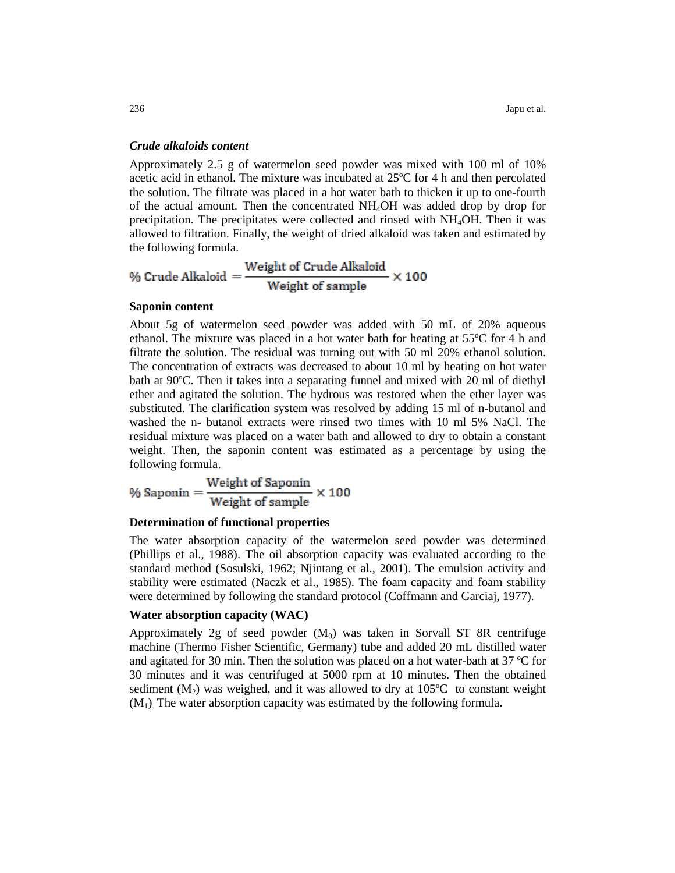## *Crude alkaloids content*

Approximately 2.5 g of watermelon seed powder was mixed with 100 ml of 10% acetic acid in ethanol. The mixture was incubated at 25ºC for 4 h and then percolated the solution. The filtrate was placed in a hot water bath to thicken it up to one-fourth of the actual amount. Then the concentrated NH4OH was added drop by drop for precipitation. The precipitates were collected and rinsed with NH4OH. Then it was allowed to filtration. Finally, the weight of dried alkaloid was taken and estimated by the following formula.

% Crude Alkaloid =  $\frac{\text{Weight of Crude Alkaloid}}{\text{Weight of sample}} \times 100$ 

#### **Saponin content**

About 5g of watermelon seed powder was added with 50 mL of 20% aqueous ethanol. The mixture was placed in a hot water bath for heating at 55ºC for 4 h and filtrate the solution. The residual was turning out with 50 ml 20% ethanol solution. The concentration of extracts was decreased to about 10 ml by heating on hot water bath at 90ºC. Then it takes into a separating funnel and mixed with 20 ml of diethyl ether and agitated the solution. The hydrous was restored when the ether layer was substituted. The clarification system was resolved by adding 15 ml of n-butanol and washed the n- butanol extracts were rinsed two times with 10 ml 5% NaCl. The residual mixture was placed on a water bath and allowed to dry to obtain a constant weight. Then, the saponin content was estimated as a percentage by using the following formula.

$$
\% \text{ Saponin} = \frac{\text{Weight of Saponin}}{\text{Weight of sample}} \times 100
$$

## **Determination of functional properties**

The water absorption capacity of the watermelon seed powder was determined (Phillips et al., 1988). The oil absorption capacity was evaluated according to the standard method (Sosulski, 1962; Njintang et al., 2001). The emulsion activity and stability were estimated (Naczk et al., 1985). The foam capacity and foam stability were determined by following the standard protocol (Coffmann and Garciaj, 1977).

# **Water absorption capacity (WAC)**

Approximately 2g of seed powder  $(M_0)$  was taken in Sorvall ST 8R centrifuge machine (Thermo Fisher Scientific, Germany) tube and added 20 mL distilled water and agitated for 30 min. Then the solution was placed on a hot water-bath at 37 ºC for 30 minutes and it was centrifuged at 5000 rpm at 10 minutes. Then the obtained sediment  $(M_2)$  was weighed, and it was allowed to dry at 105<sup>o</sup>C to constant weight  $(M_1)$ . The water absorption capacity was estimated by the following formula.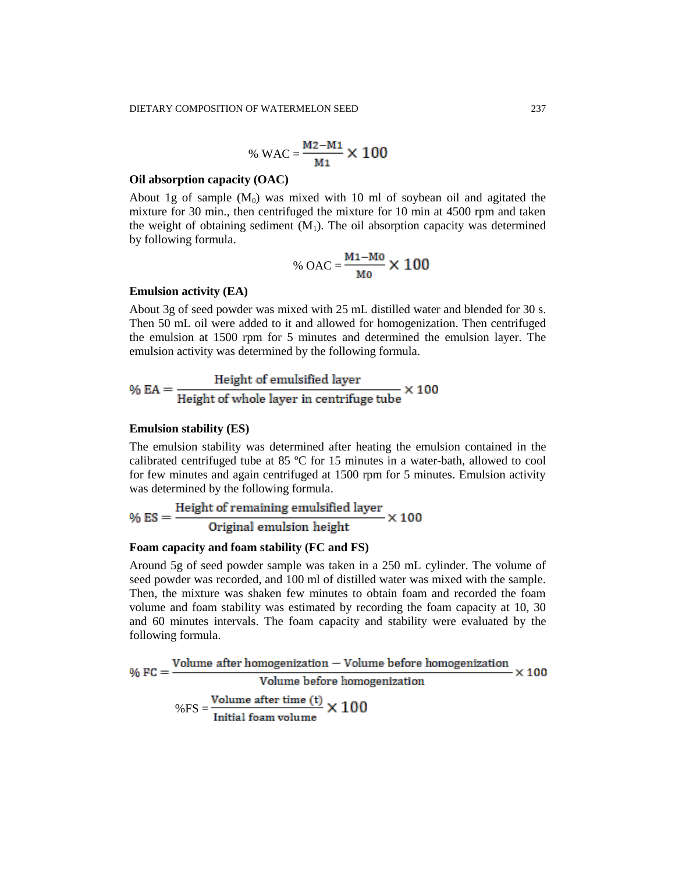% WAC = 
$$
\frac{M2 - M1}{M1} \times 100
$$

#### **Oil absorption capacity (OAC)**

About 1g of sample  $(M_0)$  was mixed with 10 ml of soybean oil and agitated the mixture for 30 min., then centrifuged the mixture for 10 min at 4500 rpm and taken the weight of obtaining sediment  $(M_1)$ . The oil absorption capacity was determined by following formula.

% OAC = 
$$
\frac{M_1 - M_0}{M_0} \times 100
$$

# **Emulsion activity (EA)**

About 3g of seed powder was mixed with 25 mL distilled water and blended for 30 s. Then 50 mL oil were added to it and allowed for homogenization. Then centrifuged the emulsion at 1500 rpm for 5 minutes and determined the emulsion layer. The emulsion activity was determined by the following formula.

$$
\% EA = \frac{Height\ of\ emulsified\ layer}{Height\ of\ whole\ layer\ in\ centrifuge\ tube} \times 100
$$

#### **Emulsion stability (ES)**

The emulsion stability was determined after heating the emulsion contained in the calibrated centrifuged tube at 85 ºC for 15 minutes in a water-bath, allowed to cool for few minutes and again centrifuged at 1500 rpm for 5 minutes. Emulsion activity was determined by the following formula.

$$
\% ES = \frac{Height\ of\ remaining\ emulsified\ layer}{Original\ emulsion\ height} \times 100
$$

#### **Foam capacity and foam stability (FC and FS)**

Around 5g of seed powder sample was taken in a 250 mL cylinder. The volume of seed powder was recorded, and 100 ml of distilled water was mixed with the sample. Then, the mixture was shaken few minutes to obtain foam and recorded the foam volume and foam stability was estimated by recording the foam capacity at 10, 30 and 60 minutes intervals. The foam capacity and stability were evaluated by the following formula.

$$
\% FC = \frac{Volume after homogenization - Volume before homogenization}{Volume before homogenization} \times 100
$$

$$
\% FS = \frac{Volume after time (t)}{Initial foam volume} \times 100
$$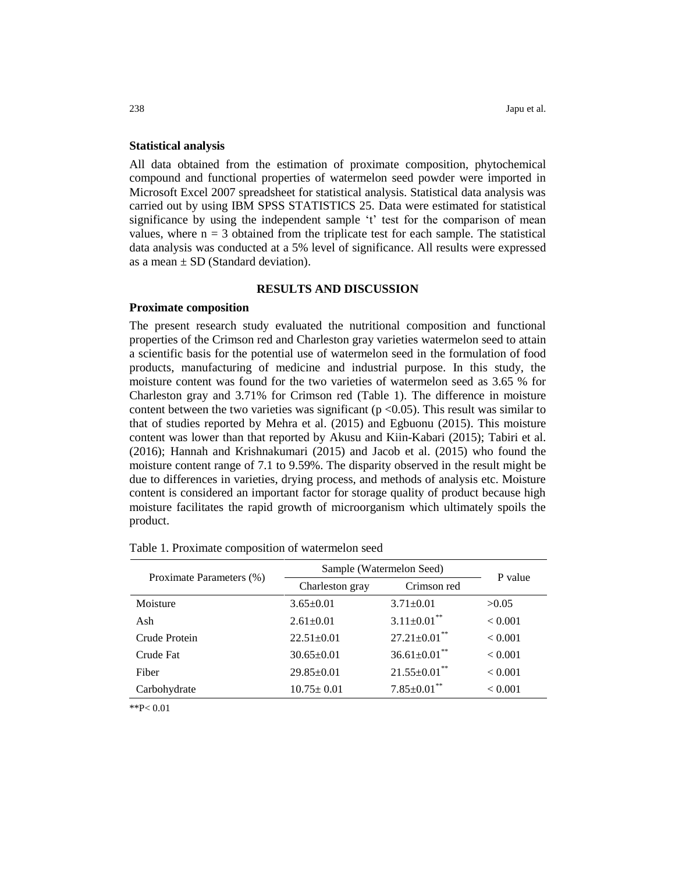#### **Statistical analysis**

All data obtained from the estimation of proximate composition, phytochemical compound and functional properties of watermelon seed powder were imported in Microsoft Excel 2007 spreadsheet for statistical analysis. Statistical data analysis was carried out by using IBM SPSS STATISTICS 25. Data were estimated for statistical significance by using the independent sample 't' test for the comparison of mean values, where  $n = 3$  obtained from the triplicate test for each sample. The statistical data analysis was conducted at a 5% level of significance. All results were expressed as a mean  $\pm$  SD (Standard deviation).

## **RESULTS AND DISCUSSION**

## **Proximate composition**

The present research study evaluated the nutritional composition and functional properties of the Crimson red and Charleston gray varieties watermelon seed to attain a scientific basis for the potential use of watermelon seed in the formulation of food products, manufacturing of medicine and industrial purpose. In this study, the moisture content was found for the two varieties of watermelon seed as 3.65 % for Charleston gray and 3.71% for Crimson red (Table 1). The difference in moisture content between the two varieties was significant ( $p < 0.05$ ). This result was similar to that of studies reported by Mehra et al. (2015) and Egbuonu (2015). This moisture content was lower than that reported by Akusu and Kiin-Kabari (2015); Tabiri et al. (2016); Hannah and Krishnakumari (2015) and Jacob et al. (2015) who found the moisture content range of 7.1 to 9.59%. The disparity observed in the result might be due to differences in varieties, drying process, and methods of analysis etc. Moisture content is considered an important factor for storage quality of product because high moisture facilitates the rapid growth of microorganism which ultimately spoils the product.

| Proximate Parameters (%) | Sample (Watermelon Seed) |                               | P value        |
|--------------------------|--------------------------|-------------------------------|----------------|
|                          | Charleston gray          | Crimson red                   |                |
| Moisture                 | $3.65 \pm 0.01$          | $3.71 \pm 0.01$               | >0.05          |
| Ash                      | $2.61 \pm 0.01$          | $3.11 \pm 0.01$ <sup>**</sup> | < 0.001        |
| Crude Protein            | $22.51 \pm 0.01$         | $27.21 \pm 0.01$ **           | < 0.001        |
| Crude Fat                | $30.65 \pm 0.01$         | $36.61 \pm 0.01$ **           | < 0.001        |
| Fiber                    | $29.85 \pm 0.01$         | $21.55 \pm 0.01$ **           | < 0.001        |
| Carbohydrate             | $10.75 \pm 0.01$         | $7.85{\pm}0.01^{**}$          | ${}_{< 0.001}$ |

|  |  |  | Table 1. Proximate composition of watermelon seed |  |
|--|--|--|---------------------------------------------------|--|
|--|--|--|---------------------------------------------------|--|

\*\*P< 0.01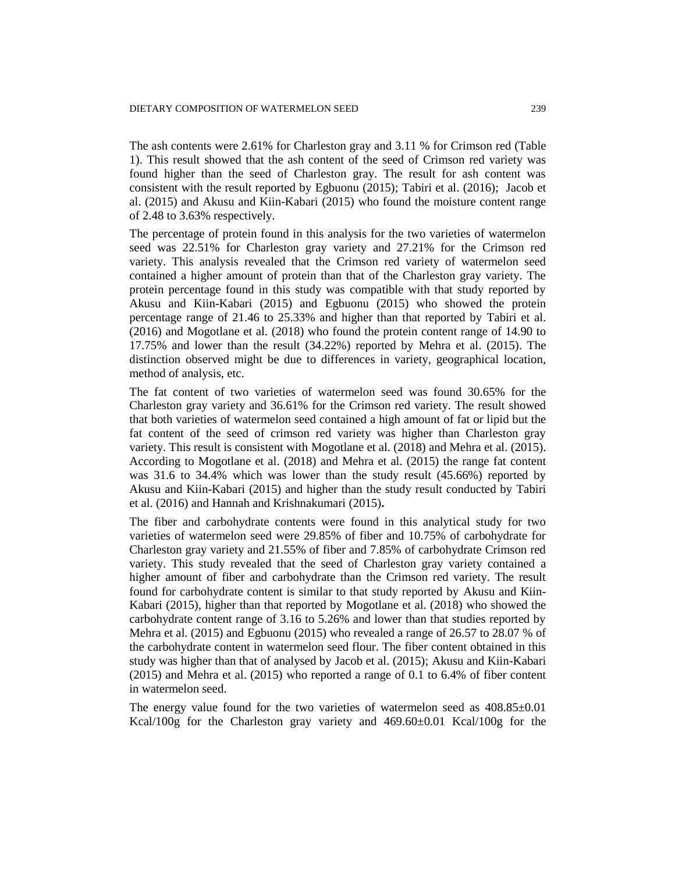The ash contents were 2.61% for Charleston gray and 3.11 % for Crimson red (Table 1). This result showed that the ash content of the seed of Crimson red variety was found higher than the seed of Charleston gray. The result for ash content was consistent with the result reported by Egbuonu (2015); Tabiri et al. (2016); Jacob et al. (2015) and Akusu and Kiin-Kabari (2015) who found the moisture content range of 2.48 to 3.63% respectively.

The percentage of protein found in this analysis for the two varieties of watermelon seed was 22.51% for Charleston gray variety and 27.21% for the Crimson red variety. This analysis revealed that the Crimson red variety of watermelon seed contained a higher amount of protein than that of the Charleston gray variety. The protein percentage found in this study was compatible with that study reported by Akusu and Kiin-Kabari (2015) and Egbuonu (2015) who showed the protein percentage range of 21.46 to 25.33% and higher than that reported by Tabiri et al. (2016) and Mogotlane et al. (2018) who found the protein content range of 14.90 to 17.75% and lower than the result (34.22%) reported by Mehra et al. (2015). The distinction observed might be due to differences in variety, geographical location, method of analysis, etc.

The fat content of two varieties of watermelon seed was found 30.65% for the Charleston gray variety and 36.61% for the Crimson red variety. The result showed that both varieties of watermelon seed contained a high amount of fat or lipid but the fat content of the seed of crimson red variety was higher than Charleston gray variety. This result is consistent with Mogotlane et al. (2018) and Mehra et al. (2015). According to Mogotlane et al. (2018) and Mehra et al. (2015) the range fat content was 31.6 to 34.4% which was lower than the study result (45.66%) reported by Akusu and Kiin-Kabari (2015) and higher than the study result conducted by Tabiri et al. (2016) and Hannah and Krishnakumari (2015)**.**

The fiber and carbohydrate contents were found in this analytical study for two varieties of watermelon seed were 29.85% of fiber and 10.75% of carbohydrate for Charleston gray variety and 21.55% of fiber and 7.85% of carbohydrate Crimson red variety. This study revealed that the seed of Charleston gray variety contained a higher amount of fiber and carbohydrate than the Crimson red variety. The result found for carbohydrate content is similar to that study reported by Akusu and Kiin-Kabari (2015), higher than that reported by Mogotlane et al. (2018) who showed the carbohydrate content range of 3.16 to 5.26% and lower than that studies reported by Mehra et al. (2015) and Egbuonu (2015) who revealed a range of 26.57 to 28.07 % of the carbohydrate content in watermelon seed flour. The fiber content obtained in this study was higher than that of analysed by Jacob et al. (2015); Akusu and Kiin-Kabari (2015) and Mehra et al. (2015) who reported a range of 0.1 to 6.4% of fiber content in watermelon seed.

The energy value found for the two varieties of watermelon seed as  $408.85\pm0.01$ Kcal/100g for the Charleston gray variety and 469.60±0.01 Kcal/100g for the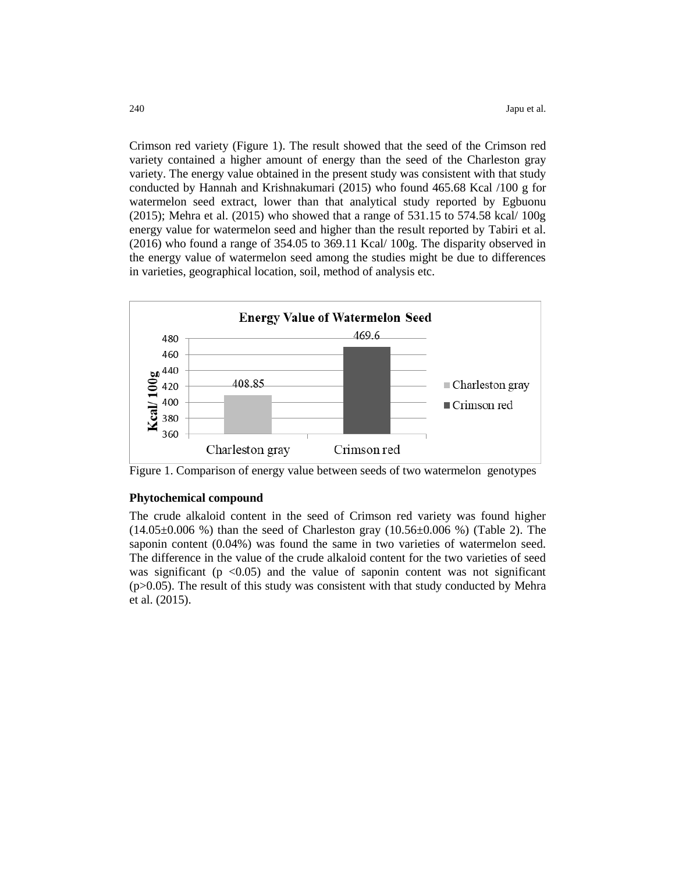Crimson red variety (Figure 1). The result showed that the seed of the Crimson red variety contained a higher amount of energy than the seed of the Charleston gray variety. The energy value obtained in the present study was consistent with that study conducted by Hannah and Krishnakumari (2015) who found 465.68 Kcal /100 g for watermelon seed extract, lower than that analytical study reported by Egbuonu (2015); Mehra et al. (2015) who showed that a range of 531.15 to 574.58 kcal/ 100g energy value for watermelon seed and higher than the result reported by Tabiri et al. (2016) who found a range of 354.05 to 369.11 Kcal/ 100g. The disparity observed in the energy value of watermelon seed among the studies might be due to differences in varieties, geographical location, soil, method of analysis etc.



Figure 1. Comparison of energy value between seeds of two watermelon genotypes

#### **Phytochemical compound**

The crude alkaloid content in the seed of Crimson red variety was found higher  $(14.05\pm0.006\%)$  than the seed of Charleston gray  $(10.56\pm0.006\%)$  (Table 2). The saponin content (0.04%) was found the same in two varieties of watermelon seed. The difference in the value of the crude alkaloid content for the two varieties of seed was significant ( $p \le 0.05$ ) and the value of saponin content was not significant (p>0.05). The result of this study was consistent with that study conducted by Mehra et al. (2015).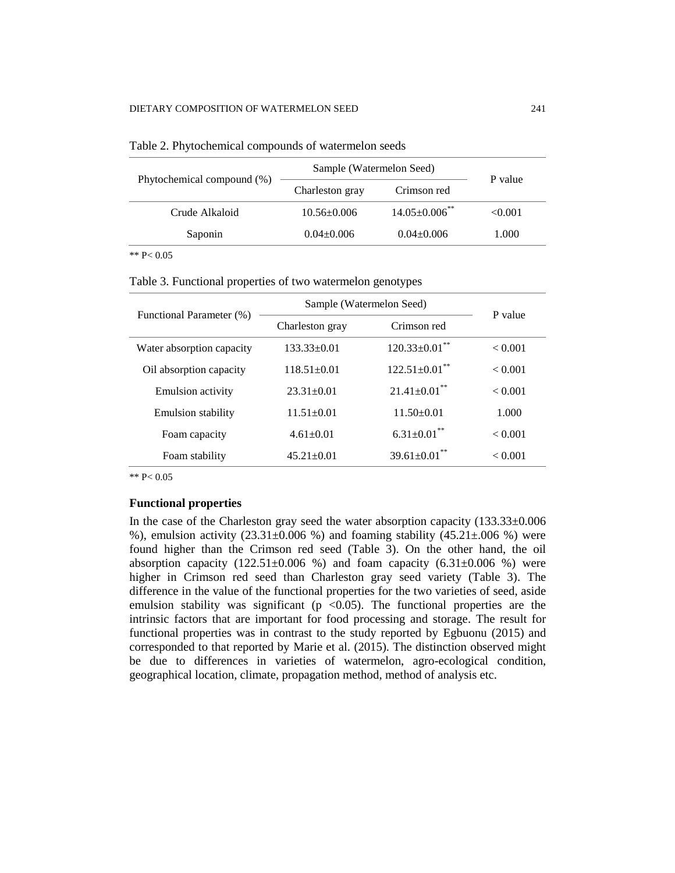| Phytochemical compound (%) | Sample (Watermelon Seed) |                      | P value |
|----------------------------|--------------------------|----------------------|---------|
|                            | Charleston gray          | Crimson red          |         |
| Crude Alkaloid             | $10.56 \pm 0.006$        | $14.05 \pm 0.006$ ** | < 0.001 |
| Saponin                    | $0.04 + 0.006$           | $0.04 + 0.006$       | 1.000   |

\*\* P< 0.05

# Table 3. Functional properties of two watermelon genotypes

| Functional Parameter (%)  | Sample (Watermelon Seed) |                               | P value |
|---------------------------|--------------------------|-------------------------------|---------|
|                           | Charleston gray          | Crimson red                   |         |
| Water absorption capacity | $133.33 \pm 0.01$        | $120.33 \pm 0.01$ **          | < 0.001 |
| Oil absorption capacity   | $118.51 + 0.01$          | $122.51 \pm 0.01$ **          | < 0.001 |
| <b>Emulsion activity</b>  | $23.31 \pm 0.01$         | $21.41 \pm 0.01$ **           | < 0.001 |
| <b>Emulsion stability</b> | $11.51 \pm 0.01$         | $11.50 \pm 0.01$              | 1.000   |
| Foam capacity             | $4.61 + 0.01$            | $6.31 \pm 0.01$ <sup>**</sup> | < 0.001 |
| Foam stability            | $45.21 + 0.01$           | $39.61 \pm 0.01$ **           | < 0.001 |

\*\* P< 0.05

## **Functional properties**

In the case of the Charleston gray seed the water absorption capacity (133.33±0.006 %), emulsion activity  $(23.31\pm0.006)$  %) and foaming stability  $(45.21\pm0.006)$  were found higher than the Crimson red seed (Table 3). On the other hand, the oil absorption capacity  $(122.51\pm0.006 \%)$  and foam capacity  $(6.31\pm0.006 \%)$  were higher in Crimson red seed than Charleston gray seed variety (Table 3). The difference in the value of the functional properties for the two varieties of seed, aside emulsion stability was significant ( $p \le 0.05$ ). The functional properties are the intrinsic factors that are important for food processing and storage. The result for functional properties was in contrast to the study reported by Egbuonu (2015) and corresponded to that reported by Marie et al. (2015). The distinction observed might be due to differences in varieties of watermelon, agro-ecological condition, geographical location, climate, propagation method, method of analysis etc.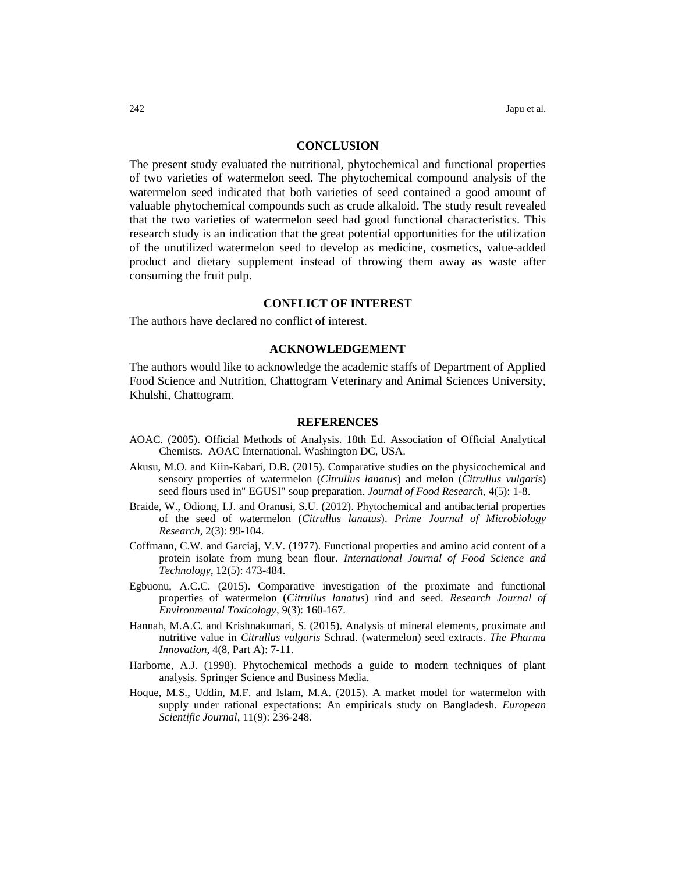## **CONCLUSION**

The present study evaluated the nutritional, phytochemical and functional properties of two varieties of watermelon seed. The phytochemical compound analysis of the watermelon seed indicated that both varieties of seed contained a good amount of valuable phytochemical compounds such as crude alkaloid. The study result revealed that the two varieties of watermelon seed had good functional characteristics. This research study is an indication that the great potential opportunities for the utilization of the unutilized watermelon seed to develop as medicine, cosmetics, value-added product and dietary supplement instead of throwing them away as waste after consuming the fruit pulp.

# **CONFLICT OF INTEREST**

The authors have declared no conflict of interest.

## **ACKNOWLEDGEMENT**

The authors would like to acknowledge the academic staffs of Department of Applied Food Science and Nutrition, Chattogram Veterinary and Animal Sciences University, Khulshi, Chattogram.

#### **REFERENCES**

- AOAC. (2005). Official Methods of Analysis. 18th Ed. Association of Official Analytical Chemists. AOAC International. Washington DC, USA.
- Akusu, M.O. and Kiin-Kabari, D.B. (2015). Comparative studies on the physicochemical and sensory properties of watermelon (*Citrullus lanatus*) and melon (*Citrullus vulgaris*) seed flours used in" EGUSI" soup preparation. *Journal of Food Research*, 4(5): 1-8.
- Braide, W., Odiong, I.J. and Oranusi, S.U. (2012). Phytochemical and antibacterial properties of the seed of watermelon (*Citrullus lanatus*). *Prime Journal of Microbiology Research*, 2(3): 99-104.
- Coffmann, C.W. and Garciaj, V.V. (1977). Functional properties and amino acid content of a protein isolate from mung bean flour. *International Journal of Food Science and Technology*, 12(5): 473-484.
- Egbuonu, A.C.C. (2015). Comparative investigation of the proximate and functional properties of watermelon (*Citrullus lanatus*) rind and seed. *Research Journal of Environmental Toxicology*, 9(3): 160-167.
- Hannah, M.A.C. and Krishnakumari, S. (2015). Analysis of mineral elements, proximate and nutritive value in *Citrullus vulgaris* Schrad. (watermelon) seed extracts. *The Pharma Innovation*, 4(8, Part A): 7-11.
- Harborne, A.J. (1998). Phytochemical methods a guide to modern techniques of plant analysis. Springer Science and Business Media.
- Hoque, M.S., Uddin, M.F. and Islam, M.A. (2015). A market model for watermelon with supply under rational expectations: An empiricals study on Bangladesh. *European Scientific Journal*, 11(9): 236-248.